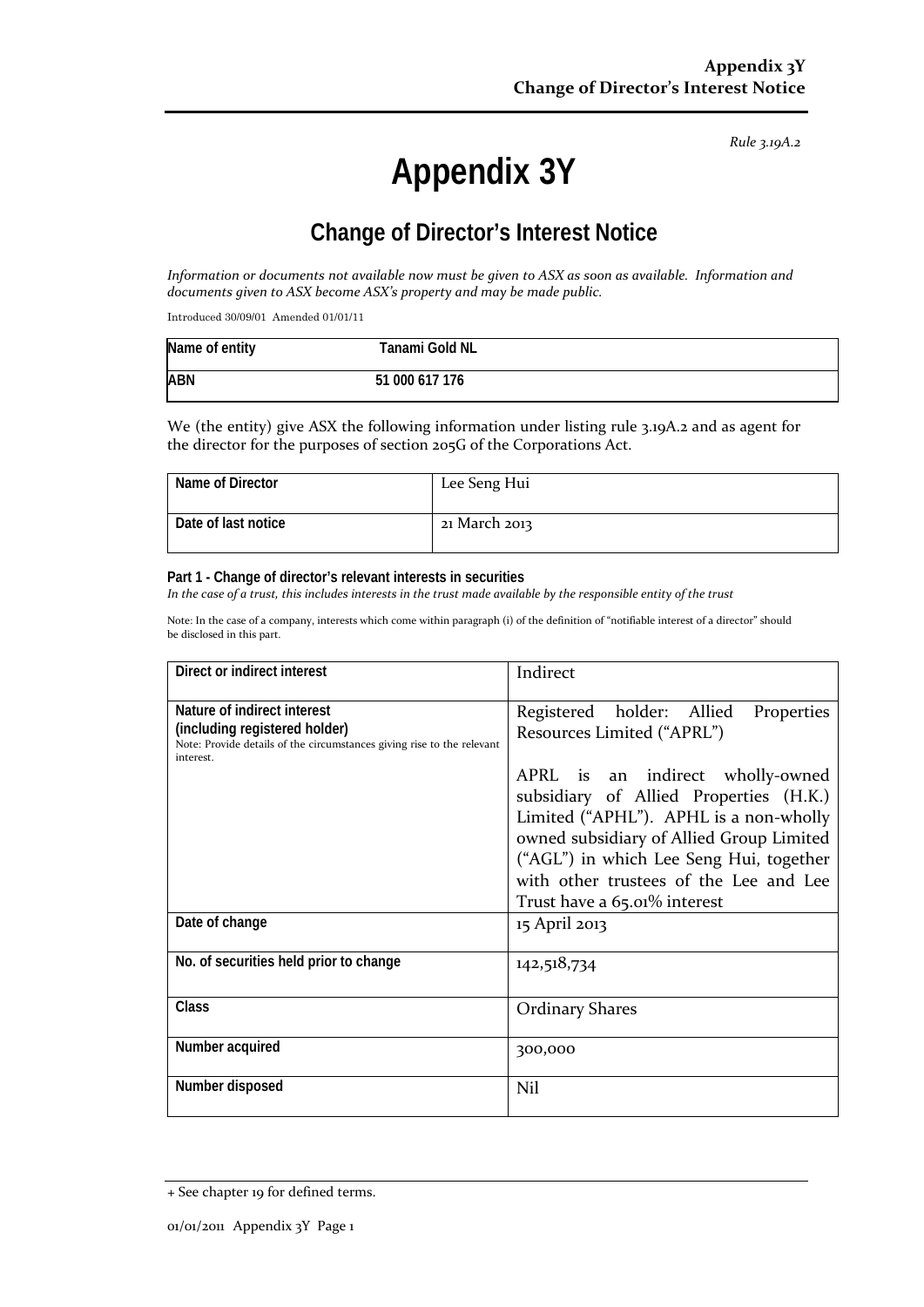*Rule 3.19A.2*

# **Appendix 3Y**

# **Change of Director's Interest Notice**

*Information or documents not available now must be given to ASX as soon as available. Information and documents given to ASX become ASX's property and may be made public.*

Introduced 30/09/01 Amended 01/01/11

| Name of entity | Tanami Gold NL |  |
|----------------|----------------|--|
| <b>ABN</b>     | 51 000 617 176 |  |

We (the entity) give ASX the following information under listing rule 3.19A.2 and as agent for the director for the purposes of section 205G of the Corporations Act.

| Name of Director    | Lee Seng Hui  |
|---------------------|---------------|
| Date of last notice | 21 March 2013 |

#### **Part 1 - Change of director's relevant interests in securities**

*In the case of a trust, this includes interests in the trust made available by the responsible entity of the trust*

Note: In the case of a company, interests which come within paragraph (i) of the definition of "notifiable interest of a director" should be disclosed in this part.

| Direct or indirect interest                                                                                                                         | Indirect                                                                                                                                                                                                                                                                              |  |
|-----------------------------------------------------------------------------------------------------------------------------------------------------|---------------------------------------------------------------------------------------------------------------------------------------------------------------------------------------------------------------------------------------------------------------------------------------|--|
| Nature of indirect interest<br>(including registered holder)<br>Note: Provide details of the circumstances giving rise to the relevant<br>interest. | Registered holder: Allied<br>Properties<br>Resources Limited ("APRL")                                                                                                                                                                                                                 |  |
|                                                                                                                                                     | APRL is an indirect wholly-owned<br>subsidiary of Allied Properties (H.K.)<br>Limited ("APHL"). APHL is a non-wholly<br>owned subsidiary of Allied Group Limited<br>("AGL") in which Lee Seng Hui, together<br>with other trustees of the Lee and Lee<br>Trust have a 65.01% interest |  |
| Date of change                                                                                                                                      | 15 April 2013                                                                                                                                                                                                                                                                         |  |
| No. of securities held prior to change                                                                                                              | 142,518,734                                                                                                                                                                                                                                                                           |  |
| Class                                                                                                                                               | <b>Ordinary Shares</b>                                                                                                                                                                                                                                                                |  |
| Number acquired                                                                                                                                     | 300,000                                                                                                                                                                                                                                                                               |  |
| Number disposed                                                                                                                                     | Nil                                                                                                                                                                                                                                                                                   |  |

<sup>+</sup> See chapter 19 for defined terms.